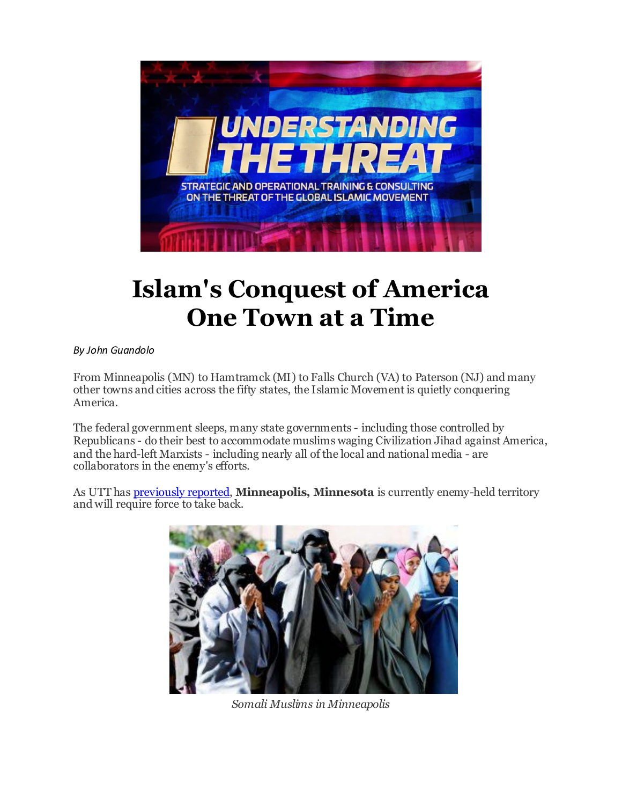

# **Islam's Conquest of America One Town at a Time**

*By John Guandolo*

From Minneapolis (MN) to Hamtramck (MI) to Falls Church (VA) to Paterson (NJ) and many other towns and cities across the fifty states, the Islamic Movement is quietly conquering America.

The federal government sleeps, many state governments - including those controlled by Republicans - do their best to accommodate muslims waging Civilization Jihad against America, and the hard-left Marxists - including nearly all of the local and national media - are collaborators in the enemy's efforts.

As UTT has [previously reported,](http://r20.rs6.net/tn.jsp?f=001P0LGDuAjUQ9KQ9rasBvlSKl9EMx8heUwzG14A2ElvfQDbEPIkDt_pcIw87MxKaqurxRElv9v02DPotWgFaoovDHGIydMv5ju5JjcVWwl8fbQOIc4O8pssPZNtWS4uPrJR0V9ZvRW8yHwXNvNPOvDMEFTxOKqBB2x2VxtI4I3djCozSlwJ-67nxvFx5LXzvcYHPEc5bhK3Yb7iwdHOvpTCrgXYNm3cIUfJtCPPgjgJvVu_7mUuDXDjSnab09k0TZJ&c=Wppr60e3Wc0-Y7qKwMIS7eJoTUCeciVobMGJAgTz87gsqJynXAOF_w==&ch=qcMKP0DDmdCf7xQ_tSV2EDtPQ9WislPeYOteVLycc8mbaT3O05KCpQ==) **Minneapolis, Minnesota** is currently enemy-held territory and will require force to take back.



*Somali Muslims in Minneapolis*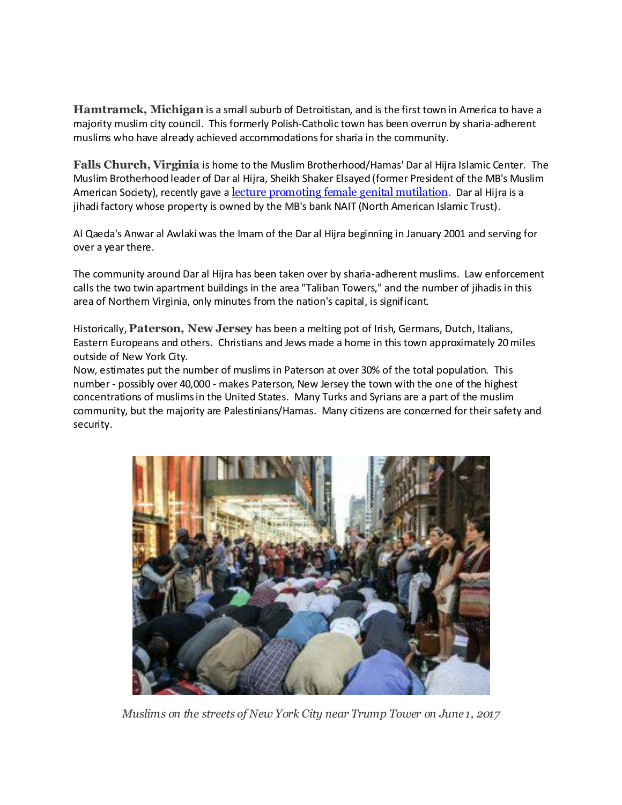**Hamtramck, Michigan** is a small suburb of Detroitistan, and is the first town in America to have a majority muslim city council. This formerly Polish-Catholic town has been overrun by sharia-adherent muslims who have already achieved accommodations for sharia in the community.

**Falls Church, Virginia** is home to the Muslim Brotherhood/Hamas' Dar al Hijra Islamic Center. The Muslim Brotherhood leader of Dar al Hijra, Sheikh Shaker Elsayed (former President of the MB's Muslim American Society), recently gave a [lecture promoting female genital mutilation](http://r20.rs6.net/tn.jsp?f=001P0LGDuAjUQ9KQ9rasBvlSKl9EMx8heUwzG14A2ElvfQDbEPIkDt_pcIw87MxKaqueRZyWumPgLm7GO84D6b7uXboYJWhKs3ESwNhojTy2l-fxmZk59ybxsla7ZD9Ztqz5xkwTRx0oJKnJ7k_V6r_6NS0Vcz_JvbCutAhOcc507B9olrsRf6k_5jskSiSirYxv1gUdIi3adFajwSgFpyXxZrIjeR2Oal0Lj1ij3-h5WX-EvFKhh5eToO0VpVMetOuDW6eB0_AXX2EP8GCDq-hCpmPmw5kuyHRWaBw9JZr0YzkJ_2lSZjMHh2s_xNP-Lu_&c=Wppr60e3Wc0-Y7qKwMIS7eJoTUCeciVobMGJAgTz87gsqJynXAOF_w==&ch=qcMKP0DDmdCf7xQ_tSV2EDtPQ9WislPeYOteVLycc8mbaT3O05KCpQ==). Dar al Hijra is a jihadi factory whose property is owned by the MB's bank NAIT (North American Islamic Trust).

Al Qaeda's Anwar al Awlaki was the Imam of the Dar al Hijra beginning in January 2001 and serving for over a year there.

The community around Dar al Hijra has been taken over by sharia-adherent muslims. Law enforcement calls the two twin apartment buildings in the area "Taliban Towers," and the number of jihadis in this area of Northem Virginia, only minutes from the nation's capital, is significant.

Historically, **Paterson, New Jersey** has been a melting pot of Irish, Germans, Dutch, Italians, Eastern Europeans and others. Christians and Jews made a home in this town approximately 20 miles outside of New York City.

Now, estimates put the number of muslims in Paterson at over 30% of the total population. This number - possibly over 40,000 - makes Paterson, New Jersey the town with the one of the highest concentrations of muslims in the United States. Many Turks and Syrians are a part of the muslim community, but the majority are Palestinians/Hamas. Many citizens are concerned for their safety and security.



*Muslims on the streets of New York City near Trump Tower on June 1, 2017*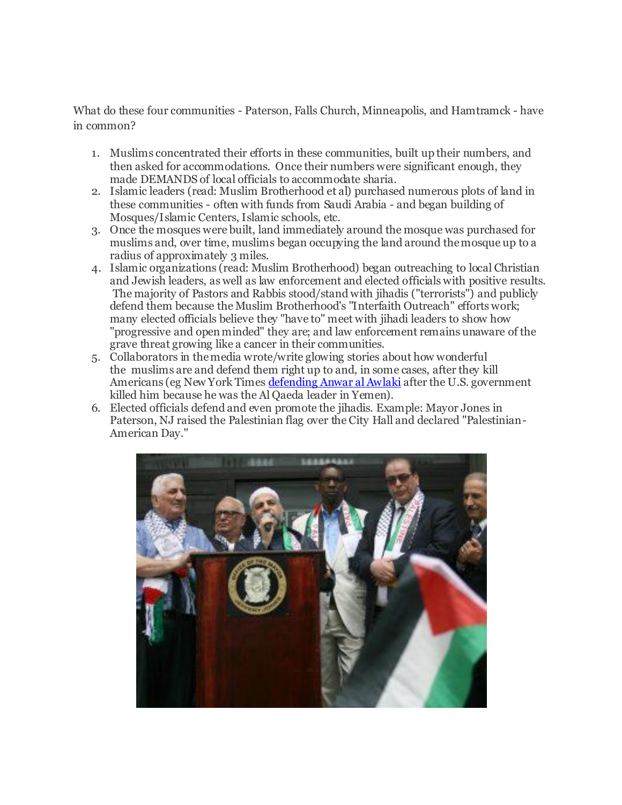What do these four communities - Paterson, Falls Church, Minneapolis, and Hamtramck - have in common?

- 1. Muslims concentrated their efforts in these communities, built up their numbers, and then asked for accommodations. Once their numbers were significant enough, they made DEMANDS of local officials to accommodate sharia.
- 2. Islamic leaders (read: Muslim Brotherhood et al) purchased numerous plots of land in these communities - often with funds from Saudi Arabia - and began building of Mosques/Islamic Centers, Islamic schools, etc.
- 3. Once the mosques were built, land immediately around the mosque was purchased for muslims and, over time, muslims began occupying the land around the mosque up to a radius of approximately 3 miles.
- 4. Islamic organizations (read: Muslim Brotherhood) began outreaching to local Christian and Jewish leaders, as well as law enforcement and elected officials with positive results. The majority of Pastors and Rabbis stood/stand with jihadis ("terrorists") and publicly defend them because the Muslim Brotherhood's "Interfaith Outreach" efforts work; many elected officials believe they "have to" meet with jihadi leaders to show how "progressive and open minded" they are; and law enforcement remains unaware of the grave threat growing like a cancer in their communities.
- 5. Collaborators in the media wrote/write glowing stories about how wonderful the muslims are and defend them right up to and, in some cases, after they kill Americans (eg New York Times [defending Anwar al Awlaki](http://r20.rs6.net/tn.jsp?f=001P0LGDuAjUQ9KQ9rasBvlSKl9EMx8heUwzG14A2ElvfQDbEPIkDt_pcIw87MxKaquKAsOBpCzh5218KWxdLQWA38e2TZdJd3U-pwxraZu9THyPtnHRqcnQ3ok5Ub4dyMjv7oMtHRh81iyuMfJtCPpA4NSRKmhnU2R_I5y3jSnwB7zNfnZiAivUYik9pMZcN_gxXA_LN2ZCss5hPckveeRii2AH6BRV2ByTVVqpUDu-GmCAhcYNiEMVpb6wDBs31hG&c=Wppr60e3Wc0-Y7qKwMIS7eJoTUCeciVobMGJAgTz87gsqJynXAOF_w==&ch=qcMKP0DDmdCf7xQ_tSV2EDtPQ9WislPeYOteVLycc8mbaT3O05KCpQ==) after the U.S. government killed him because he was the Al Qaeda leader in Yemen).
- 6. Elected officials defend and even promote the jihadis. Example: Mayor Jones in Paterson, NJ raised the Palestinian flag over the City Hall and declared "Palestinian-American Day."

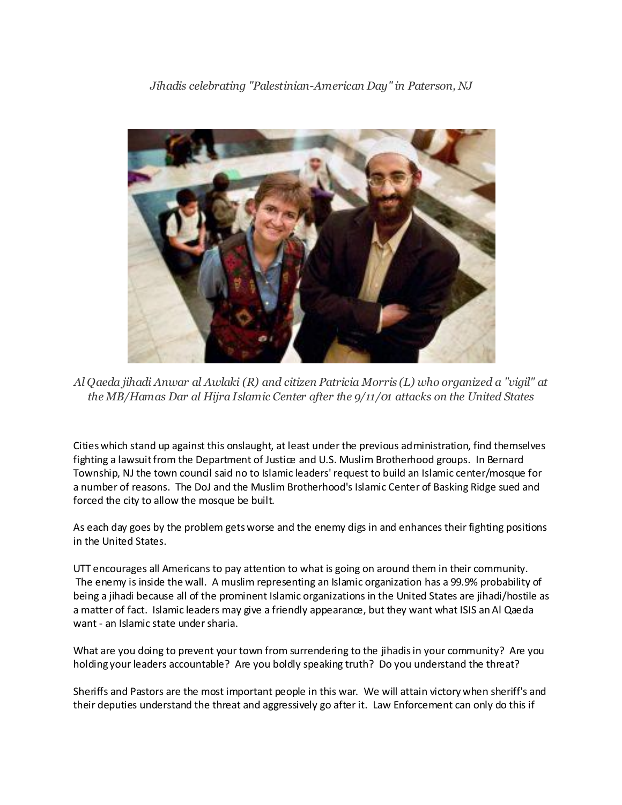

*Al Qaeda jihadi Anwar al Awlaki (R) and citizen Patricia Morris (L) who organized a "vigil" at the MB/Hamas Dar al Hijra Islamic Center after the 9/11/01 attacks on the United States*

Cities which stand up against this onslaught, at least under the previous administration, find themselves fighting a lawsuit from the Department of Justice and U.S. Muslim Brotherhood groups. In Bernard Township, NJ the town council said no to Islamic leaders' request to build an Islamic center/mosque for a number of reasons. The DoJ and the Muslim Brotherhood's Islamic Center of Basking Ridge sued and forced the city to allow the mosque be built.

As each day goes by the problem gets worse and the enemy digs in and enhances their fighting positions in the United States.

UTT encourages all Americans to pay attention to what is going on around them in their community. The enemy is inside the wall. A muslim representing an Islamic organization has a 99.9% probability of being a jihadi because all of the prominent Islamic organizations in the United States are jihadi/hostile as a matter of fact. Islamic leaders may give a friendly appearance, but they want what ISIS an Al Qaeda want - an Islamic state under sharia.

What are you doing to prevent your town from surrendering to the jihadis in your community? Are you holding your leaders accountable? Are you boldly speaking truth? Do you understand the threat?

Sheriffs and Pastors are the most important people in this war. We will attain victory when sheriff's and their deputies understand the threat and aggressively go after it. Law Enforcement can only do this if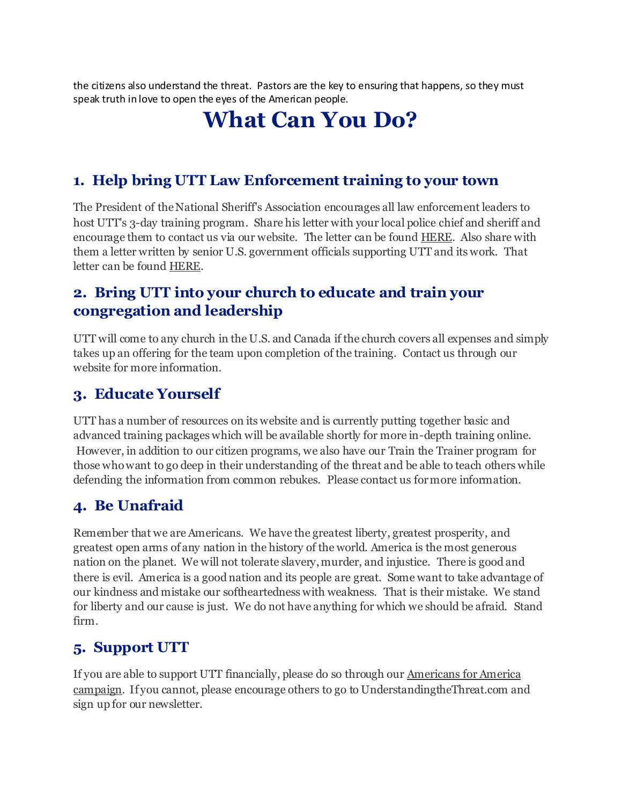the citizens also understand the threat. Pastors are the key to ensuring that happens, so they must speak truth in love to open the eyes of the American people.

## **What Can You Do?**

#### **1. Help bring UTT Law Enforcement training to your town**

The President of the National Sheriff's Association encourages all law enforcement leaders to host UTT's 3-day training program. Share his letter with your local police chief and sheriff and encourage them to contact us via our website. The letter can be found [HERE.](http://r20.rs6.net/tn.jsp?f=001P0LGDuAjUQ9KQ9rasBvlSKl9EMx8heUwzG14A2ElvfQDbEPIkDt_pcIw87MxKaquxDiaQjRRaRY5xaD4dmW8HVcxkcsIW1GF3kf87Qj4EU2JjFAl1t6ronfHX2ncJq4W2O9TwLyRab3e-mK2bSCPq0Tkay-ieIFsFdy_ZkSZkGyiTD9wDaLsxRvzOaAcyX-1dsH0tqoEwhvJ6d3rVPq1pfnqMhWXfq1rtmfaejx4_1J8Y4rrO6t1y4Qe1mdyKXFHZSZBwdVhwRo=&c=Wppr60e3Wc0-Y7qKwMIS7eJoTUCeciVobMGJAgTz87gsqJynXAOF_w==&ch=qcMKP0DDmdCf7xQ_tSV2EDtPQ9WislPeYOteVLycc8mbaT3O05KCpQ==) Also share with them a letter written by senior U.S. government officials supporting UTT and its work. That letter can be found [HERE.](http://r20.rs6.net/tn.jsp?f=001P0LGDuAjUQ9KQ9rasBvlSKl9EMx8heUwzG14A2ElvfQDbEPIkDt_pcIw87MxKaqugdMtBJlSgwWmncFFhYxI-U5CSrTosP6on-INOLTcarBqRr_tsihQRj7wj65wUtPVsuobBdL_sAtqGp57y4TV7RSZ7mNR1mEigaRY-OxKYdnCIPLs5CZLHARPwggwx6sueyIUQ-BXhEpBTm7Z_v1TKYmNEsrp8N_Pei4Ex4BrFCMzeQW2bOLz1jK21xipkJeD6xaEMIpHo1-6zBgI7rgSXQ==&c=Wppr60e3Wc0-Y7qKwMIS7eJoTUCeciVobMGJAgTz87gsqJynXAOF_w==&ch=qcMKP0DDmdCf7xQ_tSV2EDtPQ9WislPeYOteVLycc8mbaT3O05KCpQ==)

#### **2. Bring UTT into your church to educate and train your congregation and leadership**

UTT will come to any church in the U.S. and Canada if the church covers all expenses and simply takes up an offering for the team upon completion of the training. Contact us through our website for more information.

#### **3. Educate Yourself**

UTT has a number of resources on its website and is currently putting together basic and advanced training packages which will be available shortly for more in-depth training online. However, in addition to our citizen programs, we also have our Train the Trainer program for those who want to go deep in their understanding of the threat and be able to teach others while defending the information from common rebukes. Please contact us for more information.

#### **4. Be Unafraid**

Remember that we are Americans. We have the greatest liberty, greatest prosperity, and greatest open arms of any nation in the history of the world. America is the most generous nation on the planet. We will not tolerate slavery, murder, and injustice. There is good and there is evil. America is a good nation and its people are great. Some want to take advantage of our kindness and mistake our softheartedness with weakness. That is their mistake. We stand for liberty and our cause is just. We do not have anything for which we should be afraid. Stand firm.

#### **5. Support UTT**

If you are able to support UTT financially, please do so through our [Americans for America](http://r20.rs6.net/tn.jsp?f=001P0LGDuAjUQ9KQ9rasBvlSKl9EMx8heUwzG14A2ElvfQDbEPIkDt_pXLsdfNUjzTGgKtpmDvlnT77erNjWdccaTbsQLVDQ9mJzyBzuGQs4C17pbhvp-4Nr804n1EAsW0Qz_asAUVr9tKo1AZvfEodjD_u6WI8cI5upj6_-vCG5_L2PxLwiG_hylfx4YqIu5ic41XZOsnKsq8OXpHIaqwB9g==&c=Wppr60e3Wc0-Y7qKwMIS7eJoTUCeciVobMGJAgTz87gsqJynXAOF_w==&ch=qcMKP0DDmdCf7xQ_tSV2EDtPQ9WislPeYOteVLycc8mbaT3O05KCpQ==)  [campaign.](http://r20.rs6.net/tn.jsp?f=001P0LGDuAjUQ9KQ9rasBvlSKl9EMx8heUwzG14A2ElvfQDbEPIkDt_pXLsdfNUjzTGgKtpmDvlnT77erNjWdccaTbsQLVDQ9mJzyBzuGQs4C17pbhvp-4Nr804n1EAsW0Qz_asAUVr9tKo1AZvfEodjD_u6WI8cI5upj6_-vCG5_L2PxLwiG_hylfx4YqIu5ic41XZOsnKsq8OXpHIaqwB9g==&c=Wppr60e3Wc0-Y7qKwMIS7eJoTUCeciVobMGJAgTz87gsqJynXAOF_w==&ch=qcMKP0DDmdCf7xQ_tSV2EDtPQ9WislPeYOteVLycc8mbaT3O05KCpQ==) If you cannot, please encourage others to go to UnderstandingtheThreat.com and sign up for our newsletter.